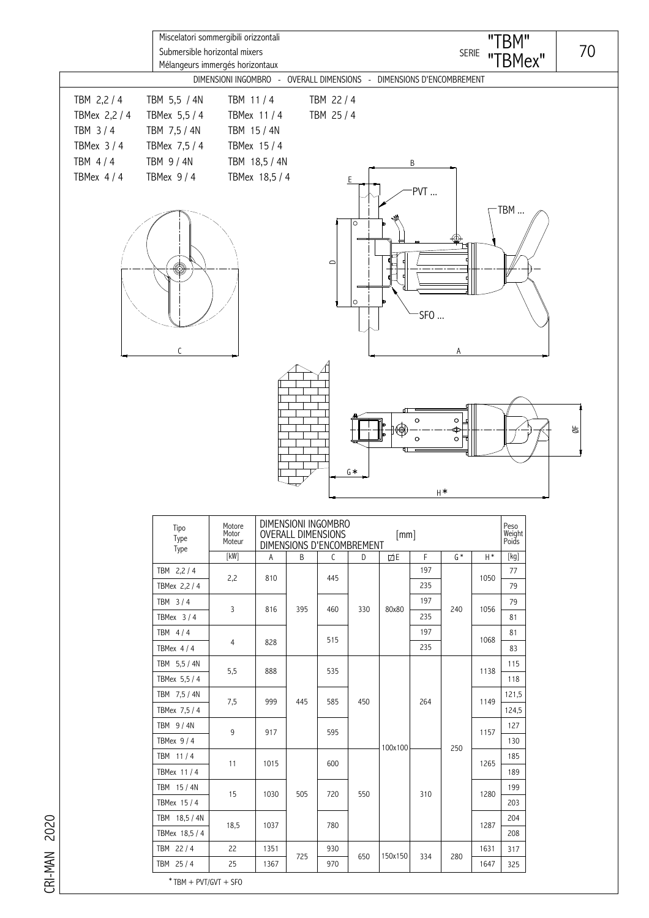| DIMENSIONI INGOMBRO - OVERALL DIMENSIONS - DIMENSIONS D'ENCOMBREMENT<br>TBM 5,5 / 4N<br>TBM 11/4<br>TBM 22 / 4<br>TBMex 11 / 4<br>TBM 25 / 4<br>TBMex 5,5 / 4<br>TBM 7,5 / 4N<br>TBM 15 / 4N<br>TBMex 7,5 / 4<br>TBMex 15 / 4<br>TBM 18,5 / 4N<br>TBM 9 / 4N<br>В<br>TBMex 9/4<br>TBMex 18,5 / 4<br>PVT<br>TBM<br>$\circ$<br>$\qquad \qquad \Box$<br>©<br>$\circ$<br>SFO<br>А                                                                                                                                                                                                                                                                                                                                               | $\bullet$<br>$\circ$<br>$\frac{1}{2}$<br>ങ<br>♦<br>оħ<br>$\circ$<br>$G*$<br>$H^*$<br>DIMENSIONI INGOMBRO<br>Peso<br>Motore<br>Tipo<br>Weight<br>Poids<br><b>OVERALL DIMENSIONS</b><br>Motor<br>[mm]<br>Type<br>Moteur<br>DIMENSIONS D'ENCOMBREMENT |                                         | Miscelatori sommergibili orizzontali<br>Submersible horizontal mixers<br>Mélangeurs immergés horizontaux |  |  |  |  | "TBM"<br>SERIE "TBMex" | 70 |
|-----------------------------------------------------------------------------------------------------------------------------------------------------------------------------------------------------------------------------------------------------------------------------------------------------------------------------------------------------------------------------------------------------------------------------------------------------------------------------------------------------------------------------------------------------------------------------------------------------------------------------------------------------------------------------------------------------------------------------|----------------------------------------------------------------------------------------------------------------------------------------------------------------------------------------------------------------------------------------------------|-----------------------------------------|----------------------------------------------------------------------------------------------------------|--|--|--|--|------------------------|----|
|                                                                                                                                                                                                                                                                                                                                                                                                                                                                                                                                                                                                                                                                                                                             |                                                                                                                                                                                                                                                    | TBM 2,2 / 4<br>TBMex 2,2 / 4<br>TBM 3/4 |                                                                                                          |  |  |  |  |                        |    |
|                                                                                                                                                                                                                                                                                                                                                                                                                                                                                                                                                                                                                                                                                                                             |                                                                                                                                                                                                                                                    | TBMex 3/4<br>TBM 4/4<br>TBMex 4/4       |                                                                                                          |  |  |  |  |                        |    |
|                                                                                                                                                                                                                                                                                                                                                                                                                                                                                                                                                                                                                                                                                                                             |                                                                                                                                                                                                                                                    |                                         |                                                                                                          |  |  |  |  |                        |    |
| [kW]<br>$[kg] % \begin{center} % \includegraphics[width=\linewidth]{imagesSupplemental_3.png} % \end{center} % \caption { % \textit{DefNet} of the \textit{DefNet} dataset. % Note that the \textit{DefNet} and \textit{DefNet} dataset. % Note that the \textit{DefNet} and \textit{DefNet} dataset. % Note that the \textit{DefNet} and \textit{DefNet} dataset. % Note that the \textit{DefNet} and \textit{DefNet} dataset. % Note that the \textit{DefNet} and \textit{DefNet} dataset. % Note that the \textit{DefNet} and \textit{DefNet} dataset. % Note that the \textit{DefNet} and \textit{DefNet} dataset. % Note that the \textit{DefNet} and \textit{DefNet$<br>F<br>$G^*$<br>$H^*$<br>B<br>D<br>ØЕ<br>C<br>Α |                                                                                                                                                                                                                                                    |                                         | Type                                                                                                     |  |  |  |  |                        |    |
| 197<br>TBM 2,2 / 4<br>77<br>2,2<br>810<br>445<br>1050<br>235                                                                                                                                                                                                                                                                                                                                                                                                                                                                                                                                                                                                                                                                |                                                                                                                                                                                                                                                    |                                         |                                                                                                          |  |  |  |  |                        |    |
| 79<br>TBMex 2,2 / 4<br>197<br>TBM 3/4<br>79<br>3<br>816<br>395<br>330<br>80x80<br>240<br>1056<br>460                                                                                                                                                                                                                                                                                                                                                                                                                                                                                                                                                                                                                        |                                                                                                                                                                                                                                                    |                                         |                                                                                                          |  |  |  |  |                        |    |
| 235<br>81<br>TBMex $3/4$<br>197<br>TBM 4/4<br>81<br>515<br>1068<br>4<br>828                                                                                                                                                                                                                                                                                                                                                                                                                                                                                                                                                                                                                                                 |                                                                                                                                                                                                                                                    |                                         |                                                                                                          |  |  |  |  |                        |    |
| 235<br>83<br>TBMex $4/4$<br>TBM 5,5 / 4N<br>115<br>5,5<br>888<br>535<br>1138                                                                                                                                                                                                                                                                                                                                                                                                                                                                                                                                                                                                                                                |                                                                                                                                                                                                                                                    |                                         |                                                                                                          |  |  |  |  |                        |    |
| TBMex 5,5 / 4<br>118<br>121,5<br>TBM 7,5 / 4N<br>7,5<br>445<br>999<br>585<br>450<br>264<br>1149                                                                                                                                                                                                                                                                                                                                                                                                                                                                                                                                                                                                                             |                                                                                                                                                                                                                                                    |                                         |                                                                                                          |  |  |  |  |                        |    |
| TBMex 7,5 / 4<br>124,5<br>TBM 9/4N<br>127<br>9<br>917<br>595<br>1157                                                                                                                                                                                                                                                                                                                                                                                                                                                                                                                                                                                                                                                        |                                                                                                                                                                                                                                                    |                                         |                                                                                                          |  |  |  |  |                        |    |
| TBMex $9/4$<br>130<br>250<br>100x100<br>TBM 11/4<br>185<br>600                                                                                                                                                                                                                                                                                                                                                                                                                                                                                                                                                                                                                                                              |                                                                                                                                                                                                                                                    |                                         |                                                                                                          |  |  |  |  |                        |    |
| 11<br>1015<br>1265<br>TBMex 11/4<br>189<br>TBM 15/4N<br>199                                                                                                                                                                                                                                                                                                                                                                                                                                                                                                                                                                                                                                                                 |                                                                                                                                                                                                                                                    |                                         |                                                                                                          |  |  |  |  |                        |    |
| 550<br>15<br>1030<br>505<br>720<br>1280<br>310<br>TBMex 15/4<br>203<br>TBM 18,5 / 4N<br>204                                                                                                                                                                                                                                                                                                                                                                                                                                                                                                                                                                                                                                 |                                                                                                                                                                                                                                                    |                                         |                                                                                                          |  |  |  |  |                        |    |
| 18,5<br>1037<br>780<br>1287<br>TBMex 18,5 / 4<br>208                                                                                                                                                                                                                                                                                                                                                                                                                                                                                                                                                                                                                                                                        |                                                                                                                                                                                                                                                    |                                         |                                                                                                          |  |  |  |  |                        |    |
| TBM 22/4<br>22<br>1351<br>930<br>1631<br>317<br>725<br>150x150<br>650<br>334<br>280<br>25<br>1647                                                                                                                                                                                                                                                                                                                                                                                                                                                                                                                                                                                                                           |                                                                                                                                                                                                                                                    |                                         |                                                                                                          |  |  |  |  |                        |    |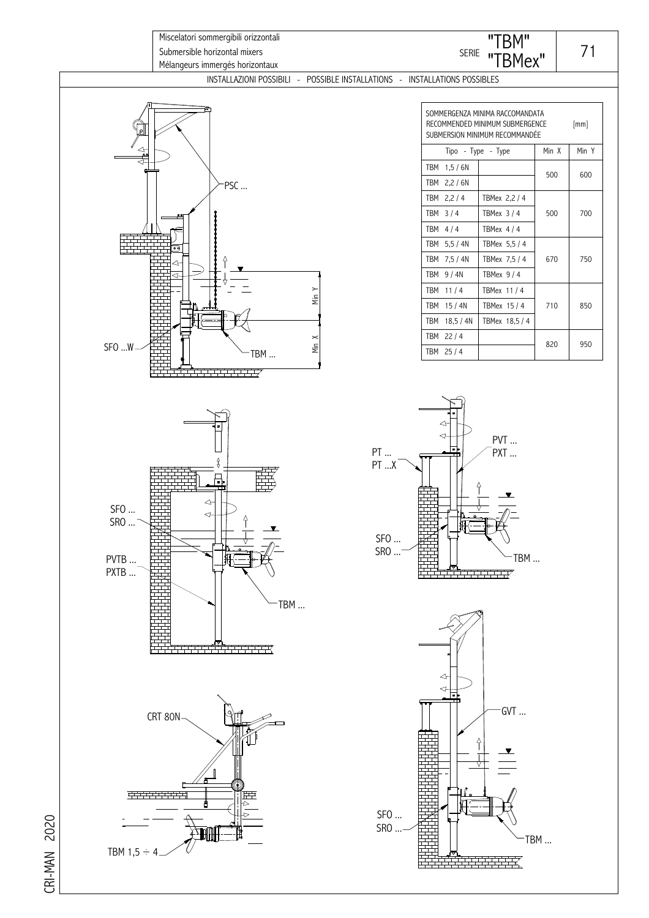

CRI-MAN 2020 CRI-MAN 2020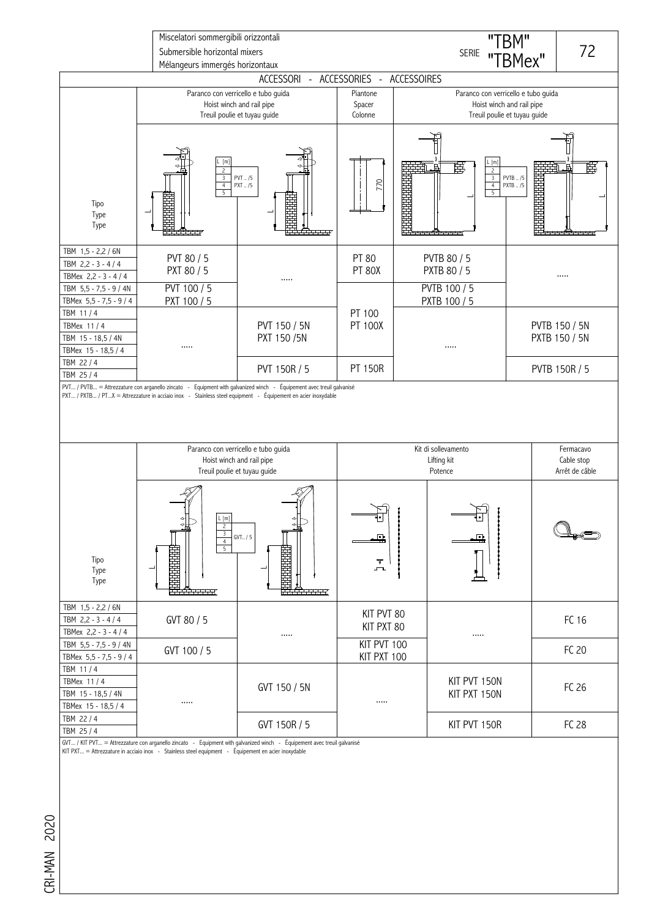

GVT… / KIT PVT… = Attrezzature con arganello zincato - Equipment with galvanized winch - Equipement avec treuil galvanisé<br>KIT PXT… = Attrezzature in acciaio inox - Stainless steel equipment - Équipement en a